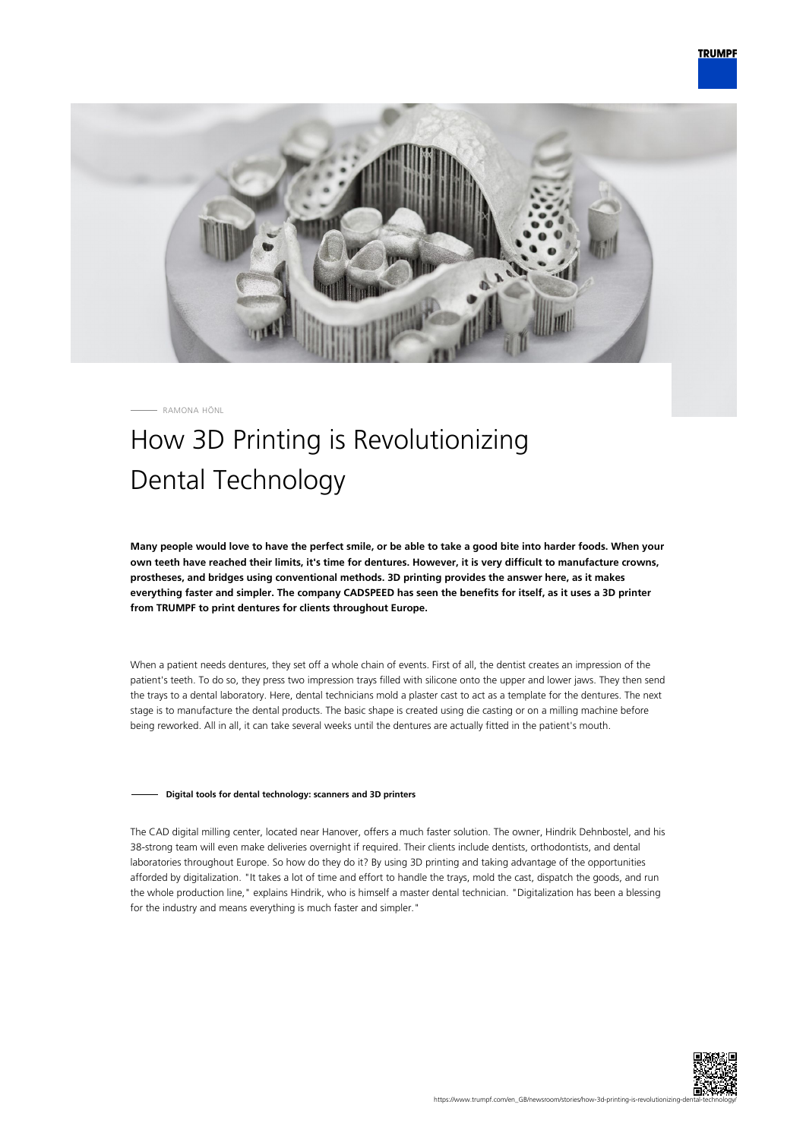

RAMONA HÖNL

# How 3D Printing is Revolutionizing Dental Technology

**Many people would love to have the perfect smile, or be able to take a good bite into harder foods. When your own teeth have reached their limits, it's time for dentures. However, it is very difficult to manufacture crowns, prostheses, and bridges using conventional methods. 3D printing provides the answer here, as it makes everything faster and simpler. The company CADSPEED has seen the benefits for itself, as it uses a 3D printer from TRUMPF to print dentures for clients throughout Europe.**

When a patient needs dentures, they set off a whole chain of events. First of all, the dentist creates an impression of the patient's teeth. To do so, they press two impression trays filled with silicone onto the upper and lower jaws. They then send the trays to a dental laboratory. Here, dental technicians mold a plaster cast to act as a template for the dentures. The next stage is to manufacture the dental products. The basic shape is created using die casting or on a milling machine before being reworked. All in all, it can take several weeks until the dentures are actually fitted in the patient's mouth.

## **Digital tools for dental technology: scanners and 3D printers**

The CAD digital milling center, located near Hanover, offers a much faster solution. The owner, Hindrik Dehnbostel, and his 38-strong team will even make deliveries overnight if required. Their clients include dentists, orthodontists, and dental laboratories throughout Europe. So how do they do it? By using 3D printing and taking advantage of the opportunities afforded by digitalization. "It takes a lot of time and effort to handle the trays, mold the cast, dispatch the goods, and run the whole production line," explains Hindrik, who is himself a master dental technician. "Digitalization has been a blessing for the industry and means everything is much faster and simpler."

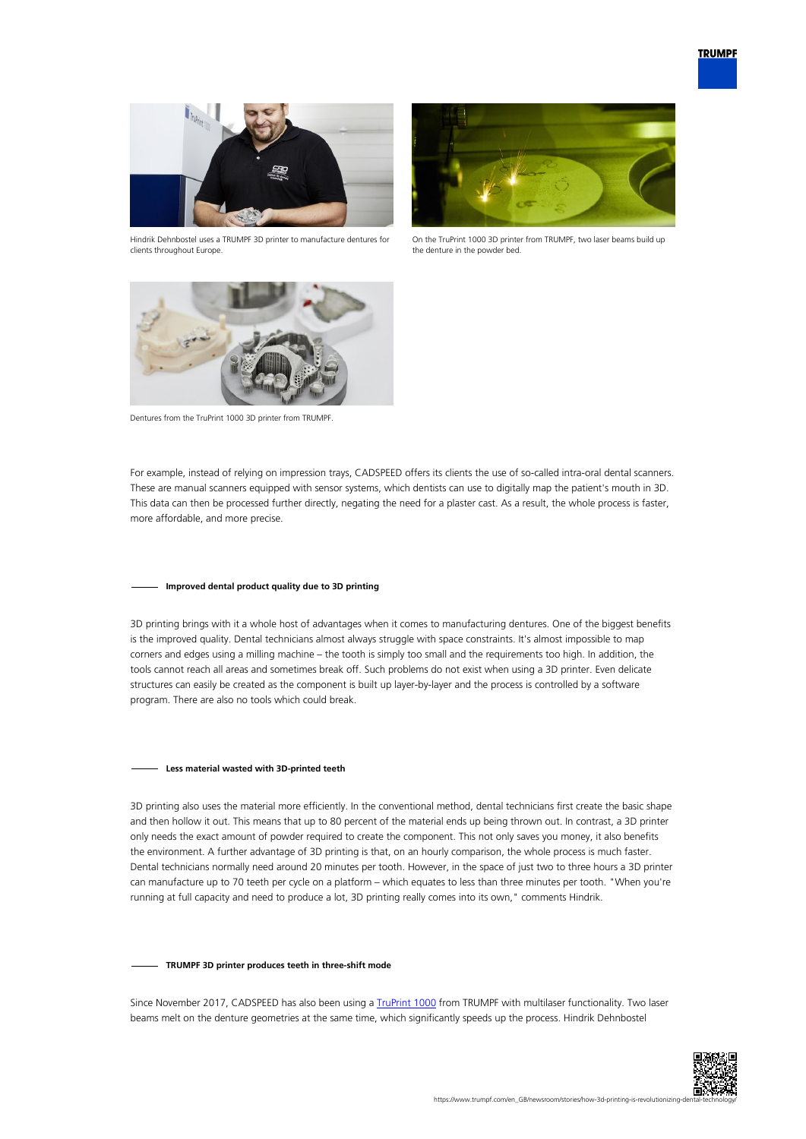

Hindrik Dehnbostel uses a TRUMPF 3D printer to manufacture dentures for clients throughout Europe.



On the TruPrint 1000 3D printer from TRUMPF, two laser beams build up the denture in the powder bed.



Dentures from the TruPrint 1000 3D printer from TRUMPF.

For example, instead of relying on impression trays, CADSPEED offers its clients the use of so-called intra-oral dental scanners. These are manual scanners equipped with sensor systems, which dentists can use to digitally map the patient's mouth in 3D. This data can then be processed further directly, negating the need for a plaster cast. As a result, the whole process is faster, more affordable, and more precise.

## **Improved dental product quality due to 3D printing**

3D printing brings with it a whole host of advantages when it comes to manufacturing dentures. One of the biggest benefits is the improved quality. Dental technicians almost always struggle with space constraints. It's almost impossible to map corners and edges using a milling machine – the tooth is simply too small and the requirements too high. In addition, the tools cannot reach all areas and sometimes break off. Such problems do not exist when using a 3D printer. Even delicate structures can easily be created as the component is built up layer-by-layer and the process is controlled by a software program. There are also no tools which could break.

#### **Less material wasted with 3D-printed teeth**

3D printing also uses the material more efficiently. In the conventional method, dental technicians first create the basic shape and then hollow it out. This means that up to 80 percent of the material ends up being thrown out. In contrast, a 3D printer only needs the exact amount of powder required to create the component. This not only saves you money, it also benefits the environment. A further advantage of 3D printing is that, on an hourly comparison, the whole process is much faster. Dental technicians normally need around 20 minutes per tooth. However, in the space of just two to three hours a 3D printer can manufacture up to 70 teeth per cycle on a platform – which equates to less than three minutes per tooth. "When you're running at full capacity and need to produce a lot, 3D printing really comes into its own," comments Hindrik.

#### **TRUMPF 3D printer produces teeth in three-shift mode**

Since November 2017, CADSPEED has also been using a [TruPrint 1000](https://www.trumpf.com/en_GB/products/machines-systems/additive-production-systems/truprint-1000/) from TRUMPF with multilaser functionality. Two laser beams melt on the denture geometries at the same time, which significantly speeds up the process. Hindrik Dehnbostel